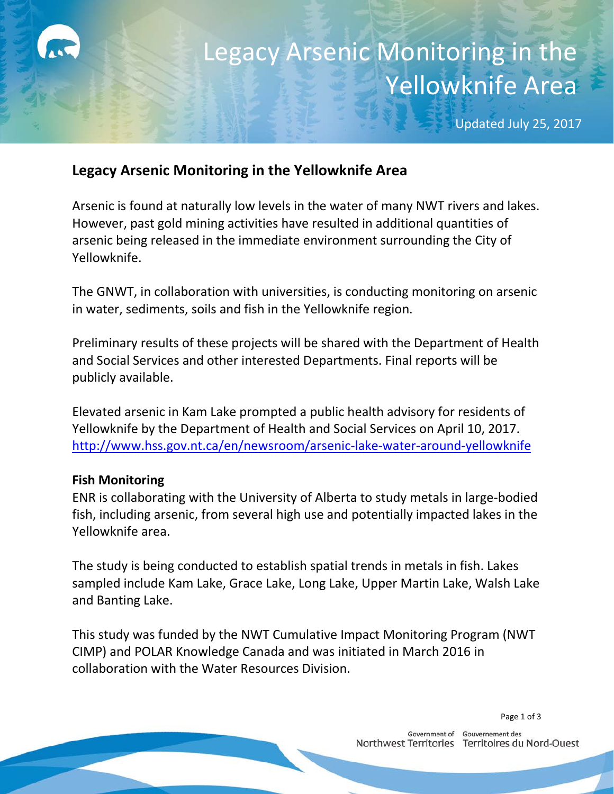# Legacy Arsenic Monitoring in the Yellowknife Area

Updated July 25, 2017

### **Legacy Arsenic Monitoring in the Yellowknife Area**

Arsenic is found at naturally low levels in the water of many NWT rivers and lakes. However, past gold mining activities have resulted in additional quantities of arsenic being released in the immediate environment surrounding the City of Yellowknife.

The GNWT, in collaboration with universities, is conducting monitoring on arsenic in water, sediments, soils and fish in the Yellowknife region.

Preliminary results of these projects will be shared with the Department of Health and Social Services and other interested Departments. Final reports will be publicly available.

Elevated arsenic in Kam Lake prompted a public health advisory for residents of Yellowknife by the Department of Health and Social Services on April 10, 2017. <http://www.hss.gov.nt.ca/en/newsroom/arsenic-lake-water-around-yellowknife>

### **Fish Monitoring**

ENR is collaborating with the University of Alberta to study metals in large-bodied fish, including arsenic, from several high use and potentially impacted lakes in the Yellowknife area.

The study is being conducted to establish spatial trends in metals in fish. Lakes sampled include Kam Lake, Grace Lake, Long Lake, Upper Martin Lake, Walsh Lake and Banting Lake.

This study was funded by the NWT Cumulative Impact Monitoring Program (NWT CIMP) and POLAR Knowledge Canada and was initiated in March 2016 in collaboration with the Water Resources Division.

Page 1 of 3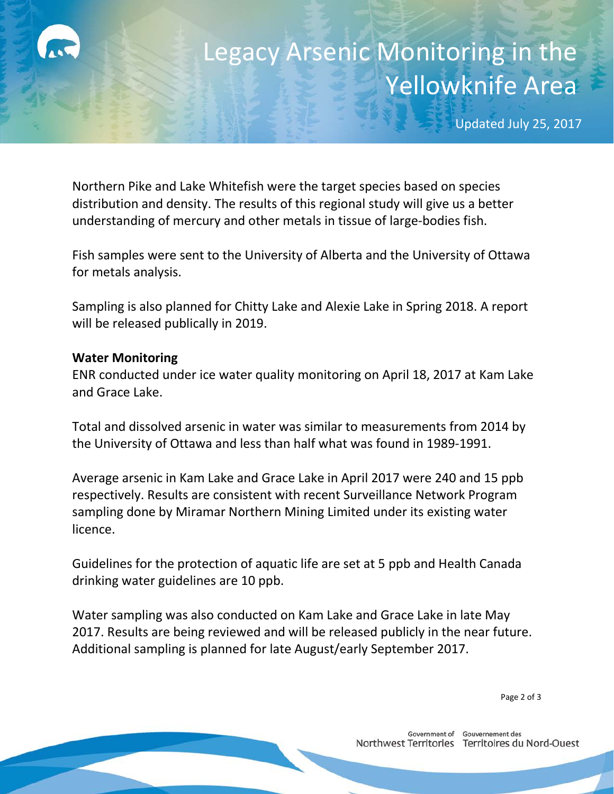## Legacy Arsenic Monitoring in the Yellowknife Area

Updated July 25, 2017

Northern Pike and Lake Whitefish were the target species based on species distribution and density. The results of this regional study will give us a better understanding of mercury and other metals in tissue of large-bodies fish.

Fish samples were sent to the University of Alberta and the University of Ottawa for metals analysis.

Sampling is also planned for Chitty Lake and Alexie Lake in Spring 2018. A report will be released publically in 2019.

#### **Water Monitoring**

ENR conducted under ice water quality monitoring on April 18, 2017 at Kam Lake and Grace Lake.

Total and dissolved arsenic in water was similar to measurements from 2014 by the University of Ottawa and less than half what was found in 1989-1991.

Average arsenic in Kam Lake and Grace Lake in April 2017 were 240 and 15 ppb respectively. Results are consistent with recent Surveillance Network Program sampling done by Miramar Northern Mining Limited under its existing water licence.

Guidelines for the protection of aquatic life are set at 5 ppb and Health Canada drinking water guidelines are 10 ppb.

Water sampling was also conducted on Kam Lake and Grace Lake in late May 2017. Results are being reviewed and will be released publicly in the near future. Additional sampling is planned for late August/early September 2017.

Page 2 of 3